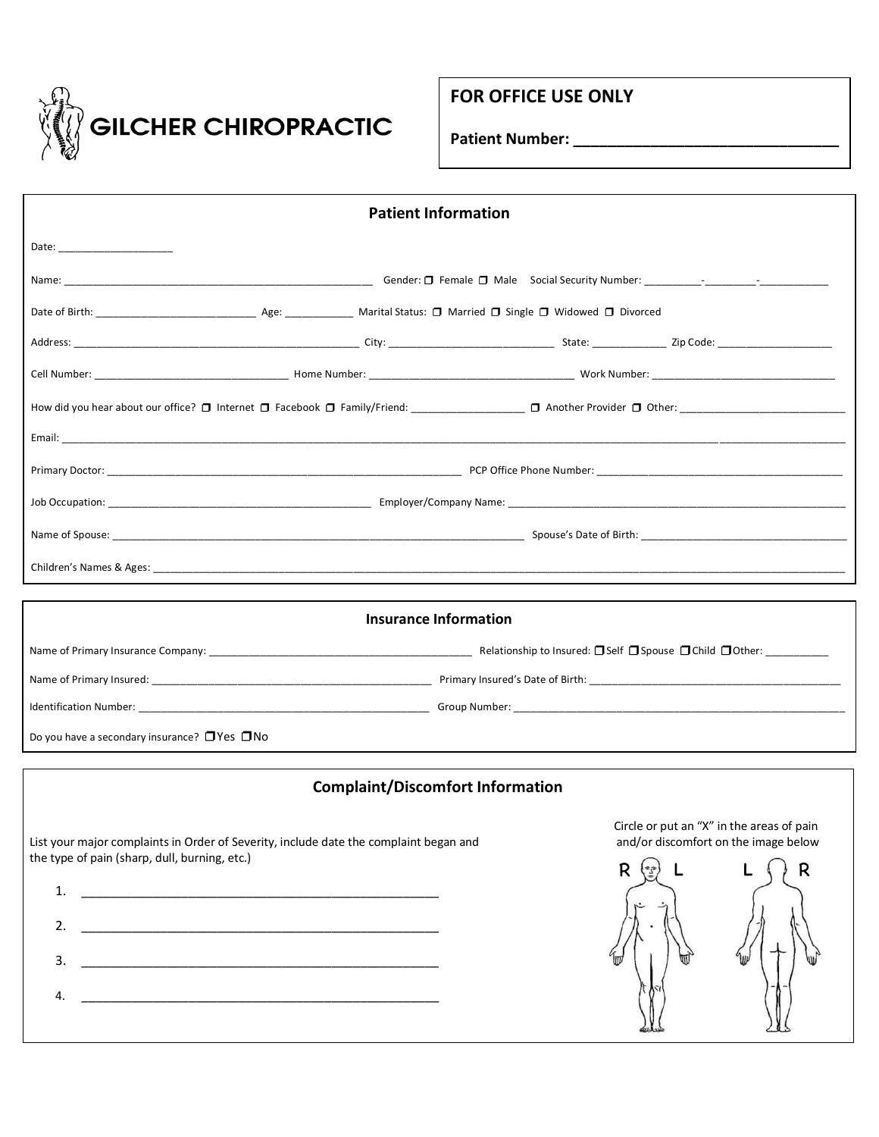

# **FOR OFFICE USE ONLY**

**Patient Number: \_\_\_\_\_\_\_\_\_\_\_\_\_\_\_\_\_\_\_\_\_\_\_\_\_\_\_\_\_\_\_**

| <b>Patient Information</b>                                                                                                  |                                                                                   |   |  |  |  |
|-----------------------------------------------------------------------------------------------------------------------------|-----------------------------------------------------------------------------------|---|--|--|--|
| Date: _______________________                                                                                               |                                                                                   |   |  |  |  |
|                                                                                                                             |                                                                                   |   |  |  |  |
|                                                                                                                             |                                                                                   |   |  |  |  |
|                                                                                                                             |                                                                                   |   |  |  |  |
|                                                                                                                             |                                                                                   |   |  |  |  |
|                                                                                                                             |                                                                                   |   |  |  |  |
|                                                                                                                             |                                                                                   |   |  |  |  |
|                                                                                                                             |                                                                                   |   |  |  |  |
|                                                                                                                             |                                                                                   |   |  |  |  |
|                                                                                                                             |                                                                                   |   |  |  |  |
|                                                                                                                             |                                                                                   |   |  |  |  |
|                                                                                                                             |                                                                                   |   |  |  |  |
|                                                                                                                             | <b>Insurance Information</b>                                                      |   |  |  |  |
|                                                                                                                             |                                                                                   |   |  |  |  |
|                                                                                                                             |                                                                                   |   |  |  |  |
|                                                                                                                             |                                                                                   |   |  |  |  |
| Do you have a secondary insurance? $\Box$ Yes $\Box$ No                                                                     |                                                                                   |   |  |  |  |
|                                                                                                                             | <b>Complaint/Discomfort Information</b>                                           |   |  |  |  |
|                                                                                                                             |                                                                                   |   |  |  |  |
| List your major complaints in Order of Severity, include date the complaint began and                                       | Circle or put an "X" in the areas of pain<br>and/or discomfort on the image below |   |  |  |  |
| the type of pain (sharp, dull, burning, etc.)                                                                               | R<br>$\left(\frac{\pi}{2}\right)$                                                 | R |  |  |  |
| 1.                                                                                                                          |                                                                                   |   |  |  |  |
| 2.                                                                                                                          |                                                                                   |   |  |  |  |
| 3.                                                                                                                          |                                                                                   |   |  |  |  |
|                                                                                                                             |                                                                                   |   |  |  |  |
| <u> 1989 - Johann Harry Harry Harry Harry Harry Harry Harry Harry Harry Harry Harry Harry Harry Harry Harry Harry</u><br>4. |                                                                                   |   |  |  |  |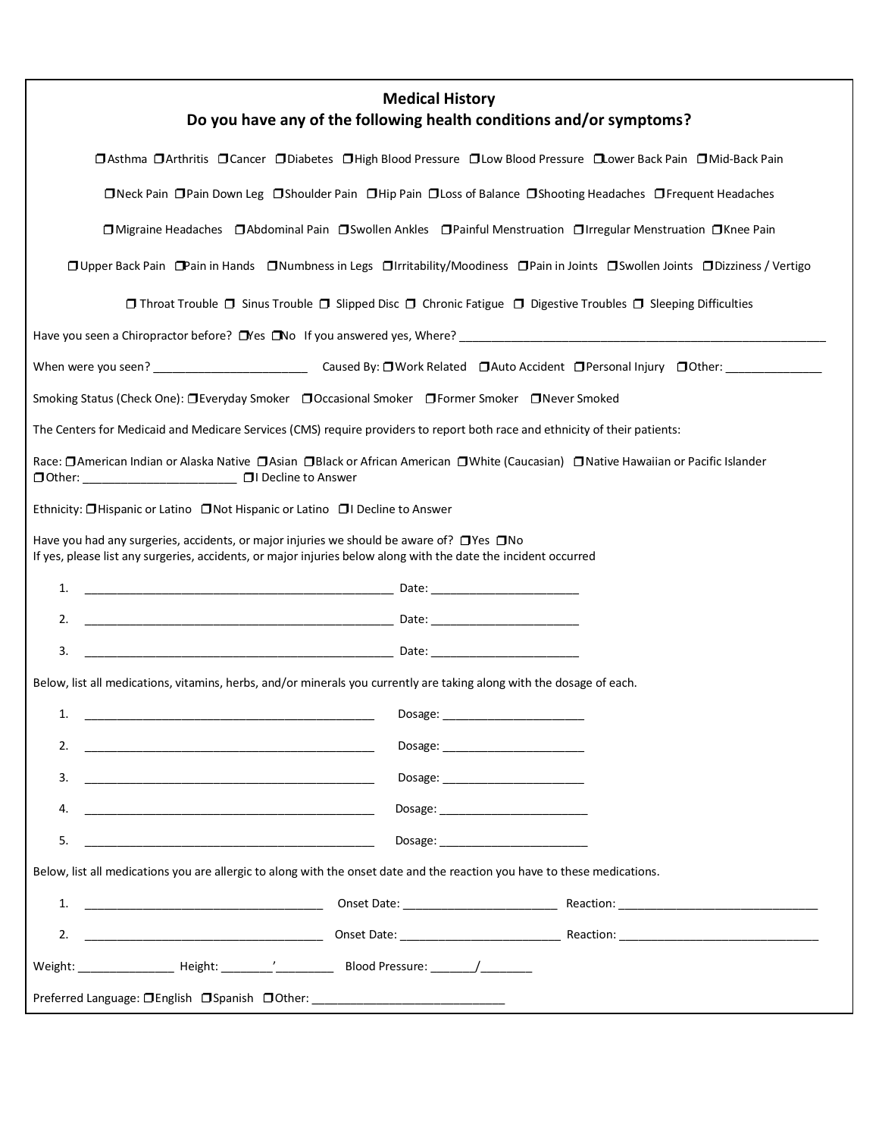| <b>Medical History</b><br>Do you have any of the following health conditions and/or symptoms?                                                                                                                           |  |  |  |  |
|-------------------------------------------------------------------------------------------------------------------------------------------------------------------------------------------------------------------------|--|--|--|--|
| □ Asthma □ Arthritis □ Cancer □ Diabetes □ High Blood Pressure □ Low Blood Pressure □ Lower Back Pain □ Mid-Back Pain                                                                                                   |  |  |  |  |
| □Neck Pain □Pain Down Leg □Shoulder Pain □Hip Pain □Loss of Balance □Shooting Headaches □Frequent Headaches                                                                                                             |  |  |  |  |
| □ Migraine Headaches □ Abdominal Pain □ Swollen Ankles □ Painful Menstruation □ Irregular Menstruation □ Knee Pain                                                                                                      |  |  |  |  |
| □ Upper Back Pain □ Pain in Hands □ Numbness in Legs □ Irritability/Moodiness □ Pain in Joints □ Swollen Joints □ Dizziness / Vertigo                                                                                   |  |  |  |  |
| □ Throat Trouble □ Sinus Trouble □ Slipped Disc □ Chronic Fatigue □ Digestive Troubles □ Sleeping Difficulties                                                                                                          |  |  |  |  |
|                                                                                                                                                                                                                         |  |  |  |  |
|                                                                                                                                                                                                                         |  |  |  |  |
| Smoking Status (Check One): □Everyday Smoker □Occasional Smoker □Former Smoker □Never Smoked                                                                                                                            |  |  |  |  |
| The Centers for Medicaid and Medicare Services (CMS) require providers to report both race and ethnicity of their patients:                                                                                             |  |  |  |  |
| Race: □ American Indian or Alaska Native □ Asian □ Black or African American □ White (Caucasian) □ Native Hawaiian or Pacific Islander<br>□ Other: ________________________ □ I Decline to Answer                       |  |  |  |  |
| Ethnicity: □Hispanic or Latino □Not Hispanic or Latino □I Decline to Answer                                                                                                                                             |  |  |  |  |
| Have you had any surgeries, accidents, or major injuries we should be aware of? $\Box$ Yes $\Box$ No<br>If yes, please list any surgeries, accidents, or major injuries below along with the date the incident occurred |  |  |  |  |
|                                                                                                                                                                                                                         |  |  |  |  |
| 2.                                                                                                                                                                                                                      |  |  |  |  |
| 3.                                                                                                                                                                                                                      |  |  |  |  |
| Below, list all medications, vitamins, herbs, and/or minerals you currently are taking along with the dosage of each.                                                                                                   |  |  |  |  |
| Dosage:<br>1.                                                                                                                                                                                                           |  |  |  |  |
|                                                                                                                                                                                                                         |  |  |  |  |
| 3.<br><u> 2000 - Jan James James Barnett, amerikansk politik (d. 1888)</u>                                                                                                                                              |  |  |  |  |
| 4.                                                                                                                                                                                                                      |  |  |  |  |
| 5.<br>Dosage: __________________________<br><u> 1989 - Johann Harry Harry Harry Harry Harry Harry Harry Harry Harry Harry Harry Harry Harry Harry Harry Harry</u>                                                       |  |  |  |  |
| Below, list all medications you are allergic to along with the onset date and the reaction you have to these medications.                                                                                               |  |  |  |  |
| 1.                                                                                                                                                                                                                      |  |  |  |  |
|                                                                                                                                                                                                                         |  |  |  |  |
|                                                                                                                                                                                                                         |  |  |  |  |
| Preferred Language: OEnglish OSpanish OOther: __________________________________                                                                                                                                        |  |  |  |  |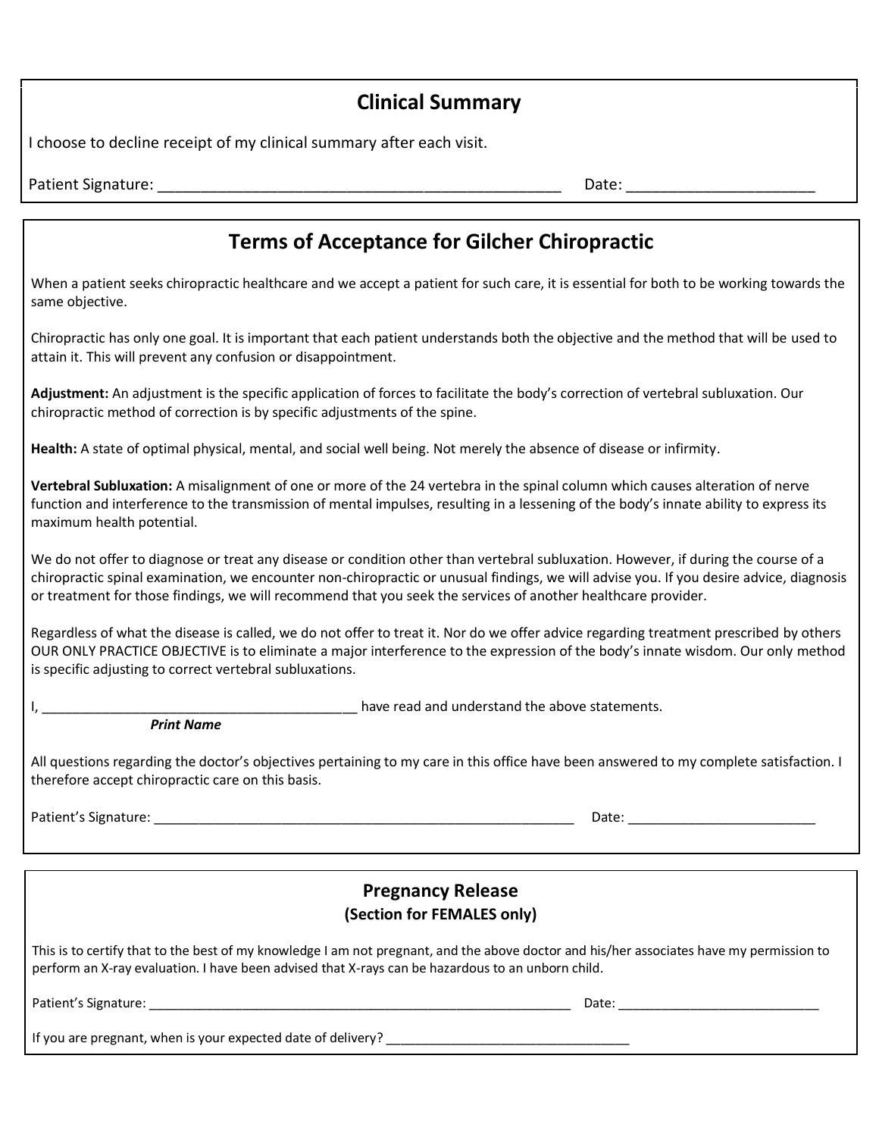# **Clinical Summary**

I choose to decline receipt of my clinical summary after each visit.

Patient Signature: \_\_\_\_\_\_\_\_\_\_\_\_\_\_\_\_\_\_\_\_\_\_\_\_\_\_\_\_\_\_\_\_\_\_\_\_\_\_\_\_\_\_\_\_\_\_\_ Date: \_\_\_\_\_\_\_\_\_\_\_\_\_\_\_\_\_\_\_\_\_\_

# **Terms of Acceptance for Gilcher Chiropractic**

When a patient seeks chiropractic healthcare and we accept a patient for such care, it is essential for both to be working towards the same objective.

Chiropractic has only one goal. It is important that each patient understands both the objective and the method that will be used to attain it. This will prevent any confusion or disappointment.

**Adjustment:** An adjustment is the specific application of forces to facilitate the body's correction of vertebral subluxation. Our chiropractic method of correction is by specific adjustments of the spine.

**Health:** A state of optimal physical, mental, and social well being. Not merely the absence of disease or infirmity.

**Vertebral Subluxation:** A misalignment of one or more of the 24 vertebra in the spinal column which causes alteration of nerve function and interference to the transmission of mental impulses, resulting in a lessening of the body's innate ability to express its maximum health potential.

We do not offer to diagnose or treat any disease or condition other than vertebral subluxation. However, if during the course of a chiropractic spinal examination, we encounter non-chiropractic or unusual findings, we will advise you. If you desire advice, diagnosis or treatment for those findings, we will recommend that you seek the services of another healthcare provider.

Regardless of what the disease is called, we do not offer to treat it. Nor do we offer advice regarding treatment prescribed by others OUR ONLY PRACTICE OBJECTIVE is to eliminate a major interference to the expression of the body's innate wisdom. Our only method is specific adjusting to correct vertebral subluxations.

I, the contract of the statements of the statements of the above statements.

*Print Name*

All questions regarding the doctor's objectives pertaining to my care in this office have been answered to my complete satisfaction. I therefore accept chiropractic care on this basis.

Patient's Signature: \_\_\_\_\_\_\_\_\_\_\_\_\_\_\_\_\_\_\_\_\_\_\_\_\_\_\_\_\_\_\_\_\_\_\_\_\_\_\_\_\_\_\_\_\_\_\_\_\_\_\_\_\_\_\_\_ Date: \_\_\_\_\_\_\_\_\_\_\_\_\_\_\_\_\_\_\_\_\_\_\_\_\_

## **Pregnancy Release (Section for FEMALES only)**

This is to certify that to the best of my knowledge I am not pregnant, and the above doctor and his/her associates have my permission to perform an X-ray evaluation. I have been advised that X-rays can be hazardous to an unborn child.

Patient's Signature: \_\_\_\_\_\_\_\_\_\_\_\_\_\_\_\_\_\_\_\_\_\_\_\_\_\_\_\_\_\_\_\_\_\_\_\_\_\_\_\_\_\_\_\_\_\_\_\_\_\_\_\_\_\_\_\_\_\_\_ Date: \_\_\_\_\_\_\_\_\_\_\_\_\_\_\_\_\_\_\_\_\_\_\_\_\_\_\_\_

If you are pregnant, when is your expected date of delivery? \_\_\_\_\_\_\_\_\_\_\_\_\_\_\_\_\_\_\_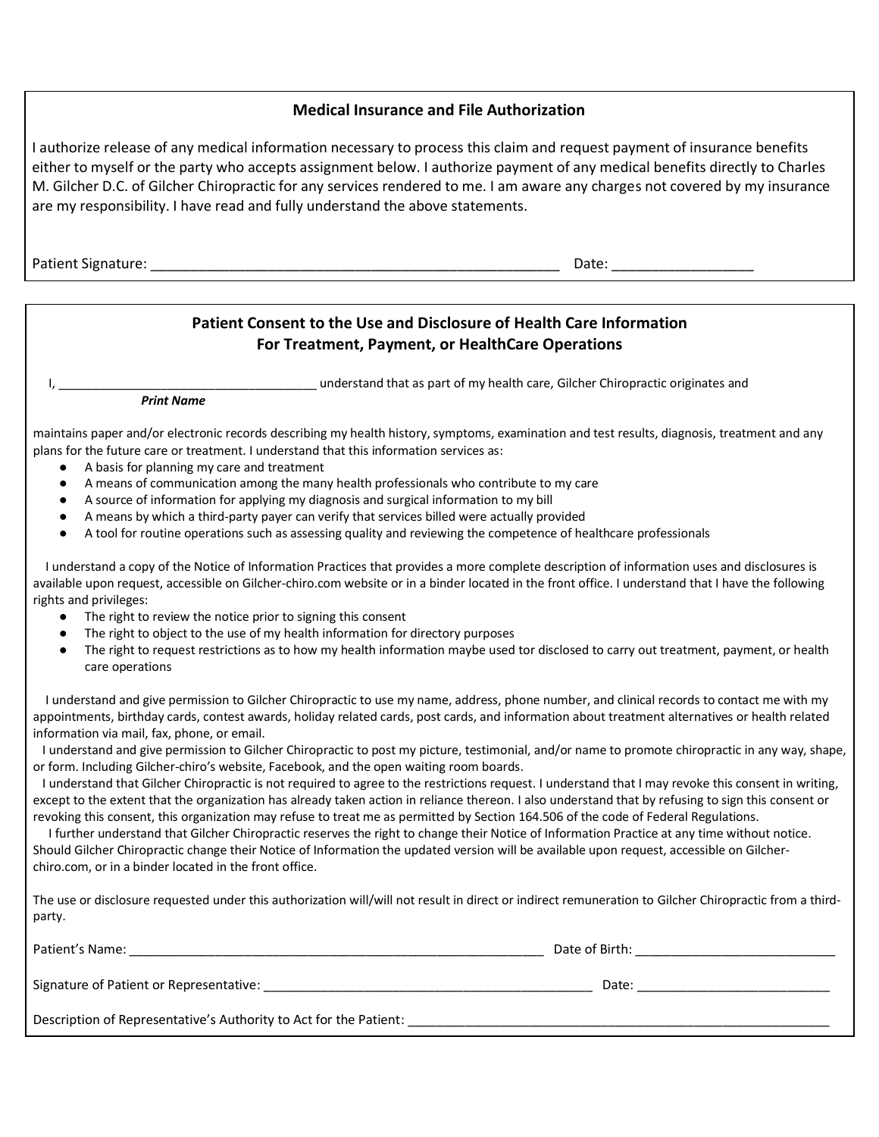#### **Medical Insurance and File Authorization**

I authorize release of any medical information necessary to process this claim and request payment of insurance benefits either to myself or the party who accepts assignment below. I authorize payment of any medical benefits directly to Charles M. Gilcher D.C. of Gilcher Chiropractic for any services rendered to me. I am aware any charges not covered by my insurance are my responsibility. I have read and fully understand the above statements.

Patient Signature: \_\_\_\_\_\_\_\_\_\_\_\_\_\_\_\_\_\_\_\_\_\_\_\_\_\_\_\_\_\_\_\_\_\_\_\_\_\_\_\_\_\_\_\_\_\_\_\_\_\_\_\_ Date: \_\_\_\_\_\_\_\_\_\_\_\_\_\_\_\_\_\_

#### **Patient Consent to the Use and Disclosure of Health Care Information For Treatment, Payment, or HealthCare Operations**

understand that as part of my health care, Gilcher Chiropractic originates and

*Print Name*

maintains paper and/or electronic records describing my health history, symptoms, examination and test results, diagnosis, treatment and any plans for the future care or treatment. I understand that this information services as:

- A basis for planning my care and treatment
- A means of communication among the many health professionals who contribute to my care
- A source of information for applying my diagnosis and surgical information to my bill
- A means by which a third-party payer can verify that services billed were actually provided
- A tool for routine operations such as assessing quality and reviewing the competence of healthcare professionals

 I understand a copy of the Notice of Information Practices that provides a more complete description of information uses and disclosures is available upon request, accessible on Gilcher-chiro.com website or in a binder located in the front office. I understand that I have the following rights and privileges:

- The right to review the notice prior to signing this consent
- The right to object to the use of my health information for directory purposes
- The right to request restrictions as to how my health information maybe used tor disclosed to carry out treatment, payment, or health care operations

 I understand and give permission to Gilcher Chiropractic to use my name, address, phone number, and clinical records to contact me with my appointments, birthday cards, contest awards, holiday related cards, post cards, and information about treatment alternatives or health related information via mail, fax, phone, or email.

 I understand and give permission to Gilcher Chiropractic to post my picture, testimonial, and/or name to promote chiropractic in any way, shape, or form. Including Gilcher-chiro's website, Facebook, and the open waiting room boards.

 I understand that Gilcher Chiropractic is not required to agree to the restrictions request. I understand that I may revoke this consent in writing, except to the extent that the organization has already taken action in reliance thereon. I also understand that by refusing to sign this consent or revoking this consent, this organization may refuse to treat me as permitted by Section 164.506 of the code of Federal Regulations.

 I further understand that Gilcher Chiropractic reserves the right to change their Notice of Information Practice at any time without notice. Should Gilcher Chiropractic change their Notice of Information the updated version will be available upon request, accessible on Gilcherchiro.com, or in a binder located in the front office.

The use or disclosure requested under this authorization will/will not result in direct or indirect remuneration to Gilcher Chiropractic from a thirdparty.

| Patient's Name:                                                   | Date of Birth: |  |
|-------------------------------------------------------------------|----------------|--|
| Signature of Patient or Representative:                           | Date:          |  |
| Description of Representative's Authority to Act for the Patient: |                |  |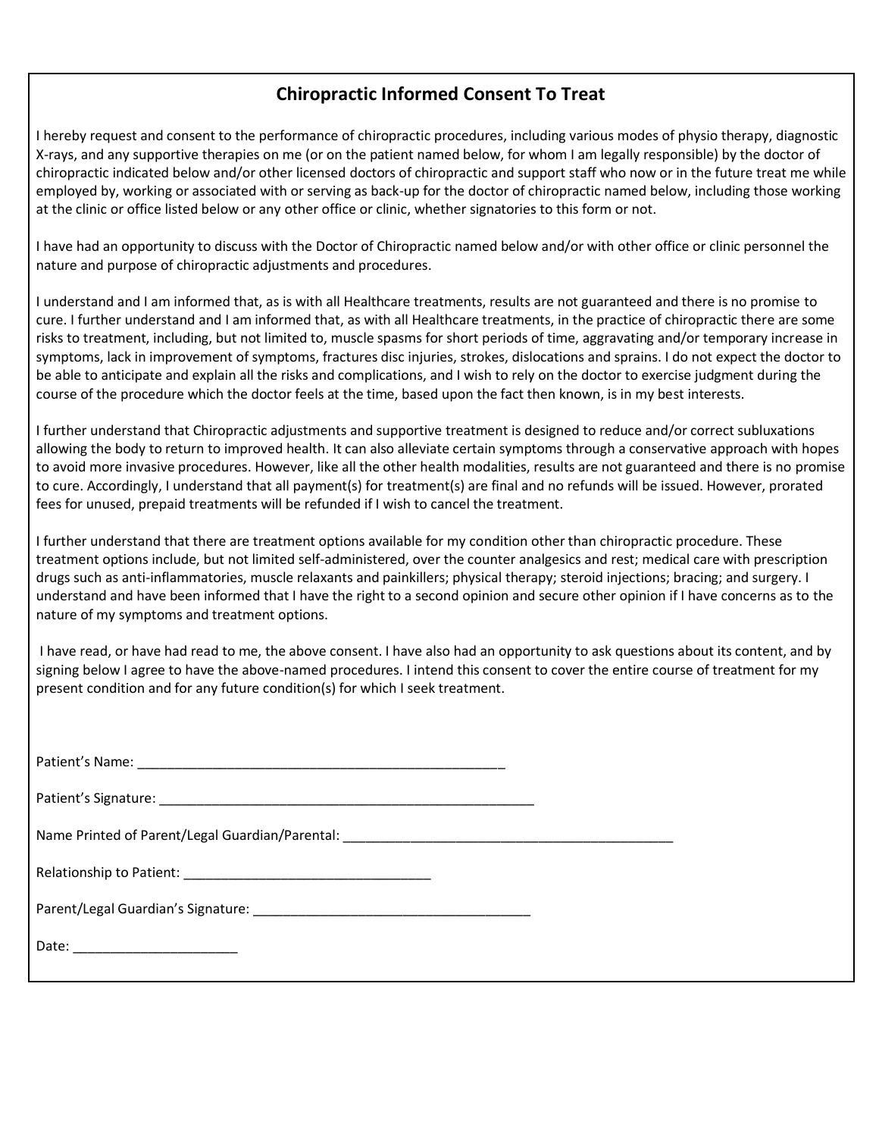## **Chiropractic Informed Consent To Treat**

I hereby request and consent to the performance of chiropractic procedures, including various modes of physio therapy, diagnostic X-rays, and any supportive therapies on me (or on the patient named below, for whom I am legally responsible) by the doctor of chiropractic indicated below and/or other licensed doctors of chiropractic and support staff who now or in the future treat me while employed by, working or associated with or serving as back-up for the doctor of chiropractic named below, including those working at the clinic or office listed below or any other office or clinic, whether signatories to this form or not.

I have had an opportunity to discuss with the Doctor of Chiropractic named below and/or with other office or clinic personnel the nature and purpose of chiropractic adjustments and procedures.

I understand and I am informed that, as is with all Healthcare treatments, results are not guaranteed and there is no promise to cure. I further understand and I am informed that, as with all Healthcare treatments, in the practice of chiropractic there are some risks to treatment, including, but not limited to, muscle spasms for short periods of time, aggravating and/or temporary increase in symptoms, lack in improvement of symptoms, fractures disc injuries, strokes, dislocations and sprains. I do not expect the doctor to be able to anticipate and explain all the risks and complications, and I wish to rely on the doctor to exercise judgment during the course of the procedure which the doctor feels at the time, based upon the fact then known, is in my best interests.

I further understand that Chiropractic adjustments and supportive treatment is designed to reduce and/or correct subluxations allowing the body to return to improved health. It can also alleviate certain symptoms through a conservative approach with hopes to avoid more invasive procedures. However, like all the other health modalities, results are not guaranteed and there is no promise to cure. Accordingly, I understand that all payment(s) for treatment(s) are final and no refunds will be issued. However, prorated fees for unused, prepaid treatments will be refunded if I wish to cancel the treatment.

I further understand that there are treatment options available for my condition other than chiropractic procedure. These treatment options include, but not limited self-administered, over the counter analgesics and rest; medical care with prescription drugs such as anti-inflammatories, muscle relaxants and painkillers; physical therapy; steroid injections; bracing; and surgery. I understand and have been informed that I have the right to a second opinion and secure other opinion if I have concerns as to the nature of my symptoms and treatment options.

I have read, or have had read to me, the above consent. I have also had an opportunity to ask questions about its content, and by signing below I agree to have the above-named procedures. I intend this consent to cover the entire course of treatment for my present condition and for any future condition(s) for which I seek treatment.

| Date: ____________________________ |  |
|------------------------------------|--|
|                                    |  |